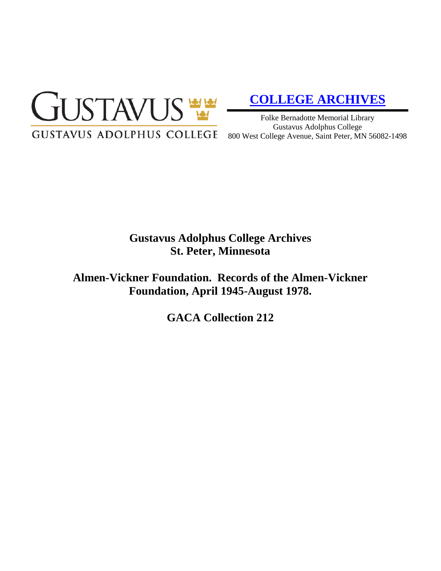

# **[COLLEGE ARCHIVES](http://gustavus.edu/academics/library/archives/)**

Folke Bernadotte Memorial Library Gustavus Adolphus College 800 West College Avenue, Saint Peter, MN 56082-1498

# **Gustavus Adolphus College Archives St. Peter, Minnesota**

**Almen-Vickner Foundation. Records of the Almen-Vickner Foundation, April 1945-August 1978.**

**GACA Collection 212**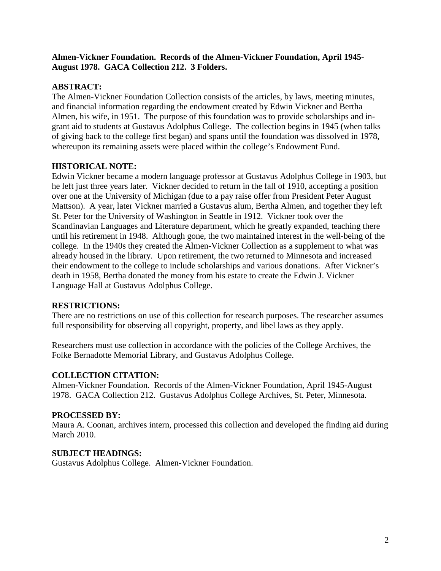# **Almen-Vickner Foundation. Records of the Almen-Vickner Foundation, April 1945- August 1978. GACA Collection 212. 3 Folders.**

# **ABSTRACT:**

The Almen-Vickner Foundation Collection consists of the articles, by laws, meeting minutes, and financial information regarding the endowment created by Edwin Vickner and Bertha Almen, his wife, in 1951. The purpose of this foundation was to provide scholarships and ingrant aid to students at Gustavus Adolphus College. The collection begins in 1945 (when talks of giving back to the college first began) and spans until the foundation was dissolved in 1978, whereupon its remaining assets were placed within the college's Endowment Fund.

# **HISTORICAL NOTE:**

Edwin Vickner became a modern language professor at Gustavus Adolphus College in 1903, but he left just three years later. Vickner decided to return in the fall of 1910, accepting a position over one at the University of Michigan (due to a pay raise offer from President Peter August Mattson). A year, later Vickner married a Gustavus alum, Bertha Almen, and together they left St. Peter for the University of Washington in Seattle in 1912. Vickner took over the Scandinavian Languages and Literature department, which he greatly expanded, teaching there until his retirement in 1948. Although gone, the two maintained interest in the well-being of the college. In the 1940s they created the Almen-Vickner Collection as a supplement to what was already housed in the library. Upon retirement, the two returned to Minnesota and increased their endowment to the college to include scholarships and various donations. After Vickner's death in 1958, Bertha donated the money from his estate to create the Edwin J. Vickner Language Hall at Gustavus Adolphus College.

### **RESTRICTIONS:**

There are no restrictions on use of this collection for research purposes. The researcher assumes full responsibility for observing all copyright, property, and libel laws as they apply.

Researchers must use collection in accordance with the policies of the College Archives, the Folke Bernadotte Memorial Library, and Gustavus Adolphus College.

### **COLLECTION CITATION:**

Almen-Vickner Foundation. Records of the Almen-Vickner Foundation, April 1945-August 1978. GACA Collection 212. Gustavus Adolphus College Archives, St. Peter, Minnesota.

### **PROCESSED BY:**

Maura A. Coonan, archives intern, processed this collection and developed the finding aid during March 2010.

### **SUBJECT HEADINGS:**

Gustavus Adolphus College. Almen-Vickner Foundation.